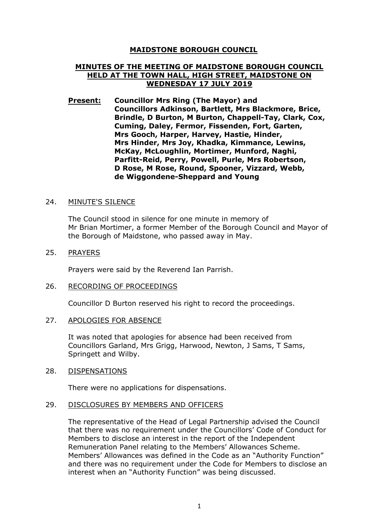# **MAIDSTONE BOROUGH COUNCIL**

# **MINUTES OF THE MEETING OF MAIDSTONE BOROUGH COUNCIL HELD AT THE TOWN HALL, HIGH STREET, MAIDSTONE ON WEDNESDAY 17 JULY 2019**

**Present: Councillor Mrs Ring (The Mayor) and Councillors Adkinson, Bartlett, Mrs Blackmore, Brice, Brindle, D Burton, M Burton, Chappell-Tay, Clark, Cox, Cuming, Daley, Fermor, Fissenden, Fort, Garten, Mrs Gooch, Harper, Harvey, Hastie, Hinder, Mrs Hinder, Mrs Joy, Khadka, Kimmance, Lewins, McKay, McLoughlin, Mortimer, Munford, Naghi, Parfitt-Reid, Perry, Powell, Purle, Mrs Robertson, D Rose, M Rose, Round, Spooner, Vizzard, Webb, de Wiggondene-Sheppard and Young**

#### 24. MINUTE'S SILENCE

The Council stood in silence for one minute in memory of Mr Brian Mortimer, a former Member of the Borough Council and Mayor of the Borough of Maidstone, who passed away in May.

#### 25. PRAYERS

Prayers were said by the Reverend Ian Parrish.

#### 26. RECORDING OF PROCEEDINGS

Councillor D Burton reserved his right to record the proceedings.

#### 27. APOLOGIES FOR ABSENCE

It was noted that apologies for absence had been received from Councillors Garland, Mrs Grigg, Harwood, Newton, J Sams, T Sams, Springett and Wilby.

#### 28. DISPENSATIONS

There were no applications for dispensations.

#### 29. DISCLOSURES BY MEMBERS AND OFFICERS

The representative of the Head of Legal Partnership advised the Council that there was no requirement under the Councillors' Code of Conduct for Members to disclose an interest in the report of the Independent Remuneration Panel relating to the Members' Allowances Scheme. Members' Allowances was defined in the Code as an "Authority Function" and there was no requirement under the Code for Members to disclose an interest when an "Authority Function" was being discussed.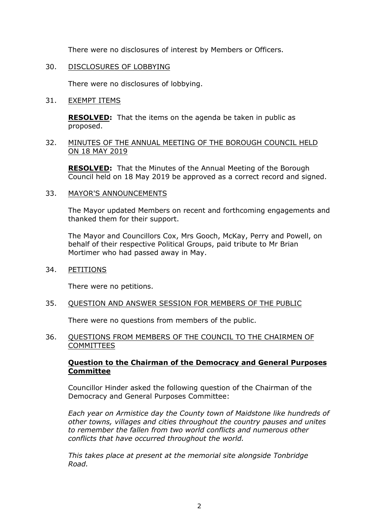There were no disclosures of interest by Members or Officers.

# 30. DISCLOSURES OF LOBBYING

There were no disclosures of lobbying.

# 31. EXEMPT ITEMS

**RESOLVED:** That the items on the agenda be taken in public as proposed.

# 32. MINUTES OF THE ANNUAL MEETING OF THE BOROUGH COUNCIL HELD ON 18 MAY 2019

**RESOLVED:** That the Minutes of the Annual Meeting of the Borough Council held on 18 May 2019 be approved as a correct record and signed.

# 33. MAYOR'S ANNOUNCEMENTS

The Mayor updated Members on recent and forthcoming engagements and thanked them for their support.

The Mayor and Councillors Cox, Mrs Gooch, McKay, Perry and Powell, on behalf of their respective Political Groups, paid tribute to Mr Brian Mortimer who had passed away in May.

34. PETITIONS

There were no petitions.

# 35. QUESTION AND ANSWER SESSION FOR MEMBERS OF THE PUBLIC

There were no questions from members of the public.

# 36. QUESTIONS FROM MEMBERS OF THE COUNCIL TO THE CHAIRMEN OF **COMMITTEES**

# **Question to the Chairman of the Democracy and General Purposes Committee**

Councillor Hinder asked the following question of the Chairman of the Democracy and General Purposes Committee:

*Each year on Armistice day the County town of Maidstone like hundreds of other towns, villages and cities throughout the country pauses and unites to remember the fallen from two world conflicts and numerous other conflicts that have occurred throughout the world.*

*This takes place at present at the memorial site alongside Tonbridge Road.*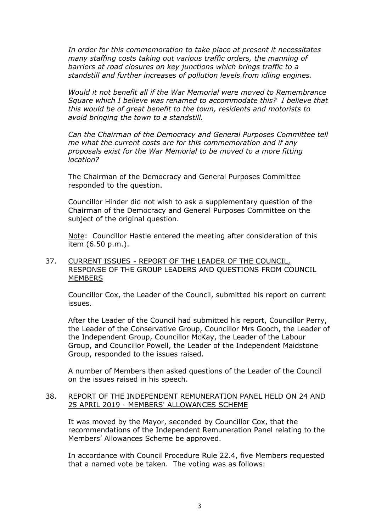*In order for this commemoration to take place at present it necessitates many staffing costs taking out various traffic orders, the manning of barriers at road closures on key junctions which brings traffic to a standstill and further increases of pollution levels from idling engines.*

*Would it not benefit all if the War Memorial were moved to Remembrance Square which I believe was renamed to accommodate this? I believe that this would be of great benefit to the town, residents and motorists to avoid bringing the town to a standstill.*

*Can the Chairman of the Democracy and General Purposes Committee tell me what the current costs are for this commemoration and if any proposals exist for the War Memorial to be moved to a more fitting location?*

The Chairman of the Democracy and General Purposes Committee responded to the question.

Councillor Hinder did not wish to ask a supplementary question of the Chairman of the Democracy and General Purposes Committee on the subject of the original question.

Note: Councillor Hastie entered the meeting after consideration of this item (6.50 p.m.).

# 37. CURRENT ISSUES - REPORT OF THE LEADER OF THE COUNCIL, RESPONSE OF THE GROUP LEADERS AND QUESTIONS FROM COUNCIL **MEMBERS**

Councillor Cox, the Leader of the Council, submitted his report on current issues.

After the Leader of the Council had submitted his report, Councillor Perry, the Leader of the Conservative Group, Councillor Mrs Gooch, the Leader of the Independent Group, Councillor McKay, the Leader of the Labour Group, and Councillor Powell, the Leader of the Independent Maidstone Group, responded to the issues raised.

A number of Members then asked questions of the Leader of the Council on the issues raised in his speech.

#### 38. REPORT OF THE INDEPENDENT REMUNERATION PANEL HELD ON 24 AND 25 APRIL 2019 - MEMBERS' ALLOWANCES SCHEME

It was moved by the Mayor, seconded by Councillor Cox, that the recommendations of the Independent Remuneration Panel relating to the Members' Allowances Scheme be approved.

In accordance with Council Procedure Rule 22.4, five Members requested that a named vote be taken. The voting was as follows: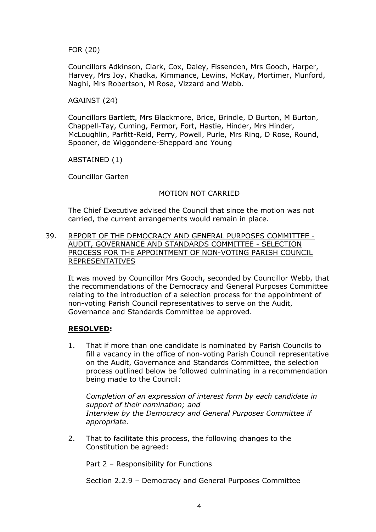FOR (20)

Councillors Adkinson, Clark, Cox, Daley, Fissenden, Mrs Gooch, Harper, Harvey, Mrs Joy, Khadka, Kimmance, Lewins, McKay, Mortimer, Munford, Naghi, Mrs Robertson, M Rose, Vizzard and Webb.

# AGAINST (24)

Councillors Bartlett, Mrs Blackmore, Brice, Brindle, D Burton, M Burton, Chappell-Tay, Cuming, Fermor, Fort, Hastie, Hinder, Mrs Hinder, McLoughlin, Parfitt-Reid, Perry, Powell, Purle, Mrs Ring, D Rose, Round, Spooner, de Wiggondene-Sheppard and Young

ABSTAINED (1)

Councillor Garten

# MOTION NOT CARRIED

The Chief Executive advised the Council that since the motion was not carried, the current arrangements would remain in place.

39. REPORT OF THE DEMOCRACY AND GENERAL PURPOSES COMMITTEE - AUDIT, GOVERNANCE AND STANDARDS COMMITTEE - SELECTION PROCESS FOR THE APPOINTMENT OF NON-VOTING PARISH COUNCIL REPRESENTATIVES

It was moved by Councillor Mrs Gooch, seconded by Councillor Webb, that the recommendations of the Democracy and General Purposes Committee relating to the introduction of a selection process for the appointment of non-voting Parish Council representatives to serve on the Audit, Governance and Standards Committee be approved.

# **RESOLVED:**

1. That if more than one candidate is nominated by Parish Councils to fill a vacancy in the office of non-voting Parish Council representative on the Audit, Governance and Standards Committee, the selection process outlined below be followed culminating in a recommendation being made to the Council:

*Completion of an expression of interest form by each candidate in support of their nomination; and Interview by the Democracy and General Purposes Committee if appropriate.*

2. That to facilitate this process, the following changes to the Constitution be agreed:

Part 2 – Responsibility for Functions

Section 2.2.9 – Democracy and General Purposes Committee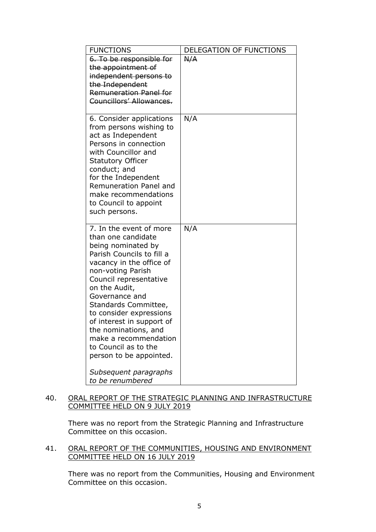| <b>FUNCTIONS</b>                                                                                                                                                                                                                                                                                                                                                                                   | DELEGATION OF FUNCTIONS |
|----------------------------------------------------------------------------------------------------------------------------------------------------------------------------------------------------------------------------------------------------------------------------------------------------------------------------------------------------------------------------------------------------|-------------------------|
| 6. To be responsible for<br>the appointment of<br>independent persons to<br>the Independent                                                                                                                                                                                                                                                                                                        | A/A                     |
| Remuneration Panel for<br>Councillors' Allowances.                                                                                                                                                                                                                                                                                                                                                 |                         |
| 6. Consider applications<br>from persons wishing to<br>act as Independent<br>Persons in connection<br>with Councillor and<br><b>Statutory Officer</b><br>conduct; and<br>for the Independent<br>Remuneration Panel and<br>make recommendations<br>to Council to appoint<br>such persons.                                                                                                           | N/A                     |
| 7. In the event of more<br>than one candidate<br>being nominated by<br>Parish Councils to fill a<br>vacancy in the office of<br>non-voting Parish<br>Council representative<br>on the Audit,<br>Governance and<br>Standards Committee,<br>to consider expressions<br>of interest in support of<br>the nominations, and<br>make a recommendation<br>to Council as to the<br>person to be appointed. | N/A                     |
| Subsequent paragraphs<br>to be renumbered                                                                                                                                                                                                                                                                                                                                                          |                         |

# 40. ORAL REPORT OF THE STRATEGIC PLANNING AND INFRASTRUCTURE COMMITTEE HELD ON 9 JULY 2019

There was no report from the Strategic Planning and Infrastructure Committee on this occasion.

# 41. ORAL REPORT OF THE COMMUNITIES, HOUSING AND ENVIRONMENT COMMITTEE HELD ON 16 JULY 2019

There was no report from the Communities, Housing and Environment Committee on this occasion.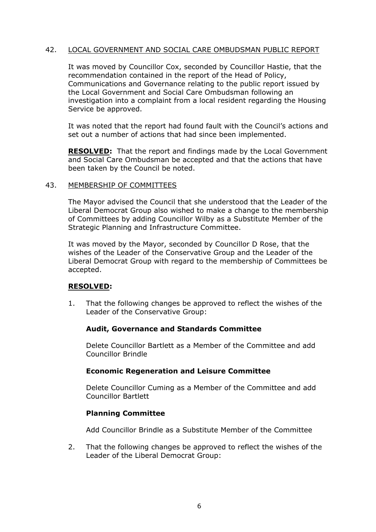# 42. LOCAL GOVERNMENT AND SOCIAL CARE OMBUDSMAN PUBLIC REPORT

It was moved by Councillor Cox, seconded by Councillor Hastie, that the recommendation contained in the report of the Head of Policy, Communications and Governance relating to the public report issued by the Local Government and Social Care Ombudsman following an investigation into a complaint from a local resident regarding the Housing Service be approved.

It was noted that the report had found fault with the Council's actions and set out a number of actions that had since been implemented.

**RESOLVED:** That the report and findings made by the Local Government and Social Care Ombudsman be accepted and that the actions that have been taken by the Council be noted.

# 43. MEMBERSHIP OF COMMITTEES

The Mayor advised the Council that she understood that the Leader of the Liberal Democrat Group also wished to make a change to the membership of Committees by adding Councillor Wilby as a Substitute Member of the Strategic Planning and Infrastructure Committee.

It was moved by the Mayor, seconded by Councillor D Rose, that the wishes of the Leader of the Conservative Group and the Leader of the Liberal Democrat Group with regard to the membership of Committees be accepted.

# **RESOLVED:**

1. That the following changes be approved to reflect the wishes of the Leader of the Conservative Group:

# **Audit, Governance and Standards Committee**

Delete Councillor Bartlett as a Member of the Committee and add Councillor Brindle

# **Economic Regeneration and Leisure Committee**

Delete Councillor Cuming as a Member of the Committee and add Councillor Bartlett

# **Planning Committee**

Add Councillor Brindle as a Substitute Member of the Committee

2. That the following changes be approved to reflect the wishes of the Leader of the Liberal Democrat Group: